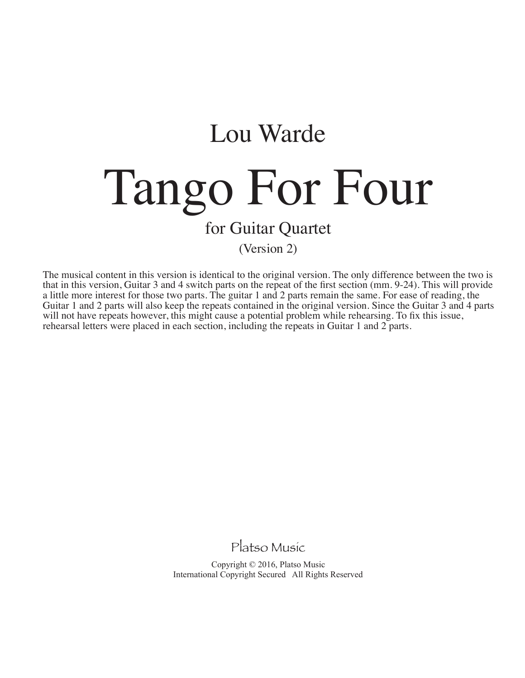## Lou Warde Tango For Four for Guitar Quartet

(Version 2)

The musical content in this version is identical to the original version. The only difference between the two is that in this version, Guitar 3 and 4 switch parts on the repeat of the first section (mm. 9-24). This will provide a little more interest for those two parts. The guitar 1 and 2 parts remain the same. For ease of reading, the Guitar 1 and 2 parts will also keep the repeats contained in the original version. Since the Guitar 3 and 4 parts will not have repeats however, this might cause a potential problem while rehearsing. To fix this issue, rehearsal letters were placed in each section, including the repeats in Guitar 1 and 2 parts.

Platso Music

Copyright © 2016, Platso Music International Copyright Secured All Rights Reserved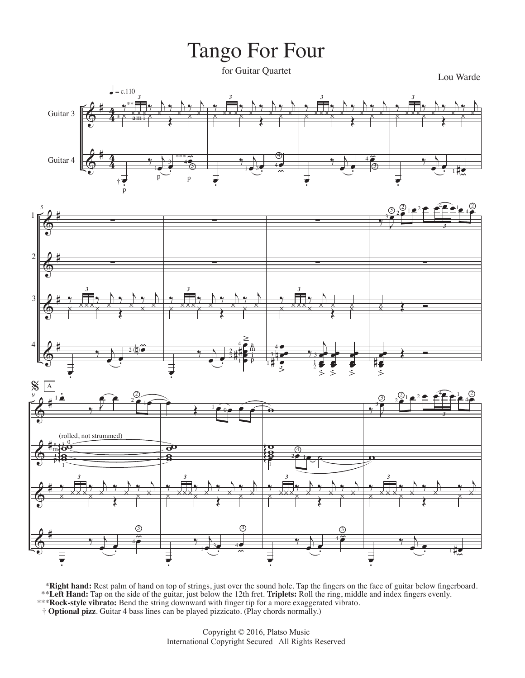## Tango For Four

for Guitar Quartet

Lou Warde







\*Right hand: Rest palm of hand on top of strings, just over the sound hole. Tap the fingers on the face of guitar below fingerboard. \*\*Left Hand: Tap on the side of the guitar, just below the 12th fret. Triplets: Roll the ring, middle and index fingers evenly.<br>\*\*\*Rock-style vibrato: Bend the string downward with finger tip for a more exaggerated vibrato

† Optional pizz. Guitar 4 bass lines can be played pizzicato. (Play chords normally.)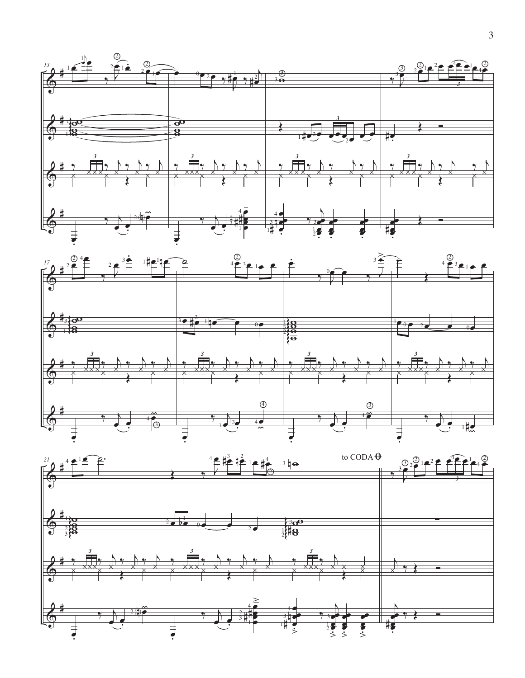



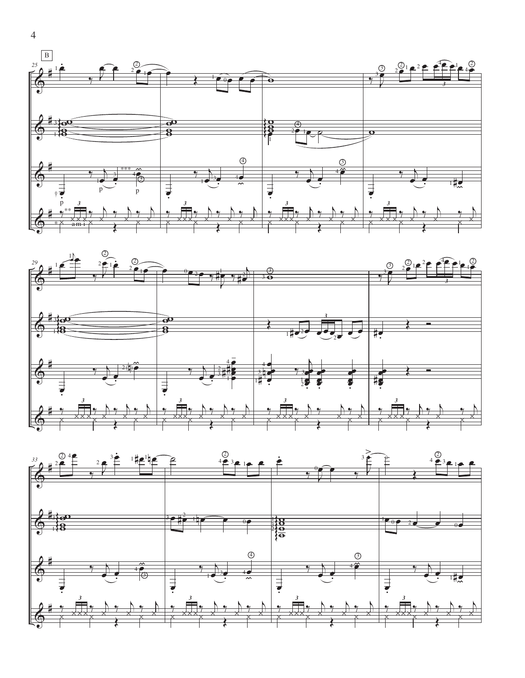





 $\overline{4}$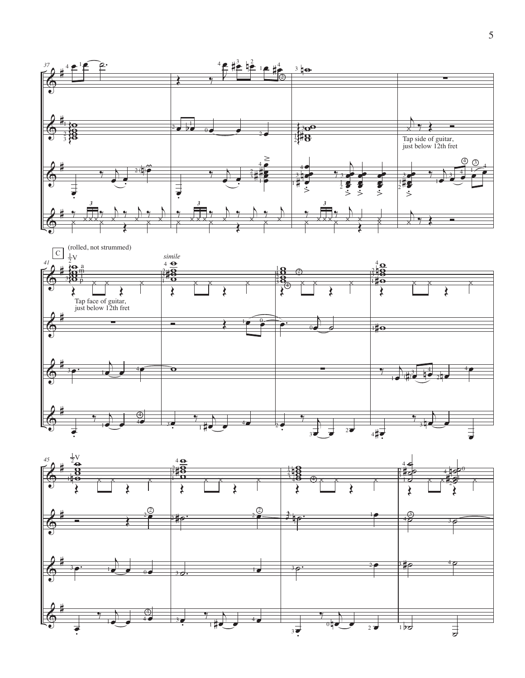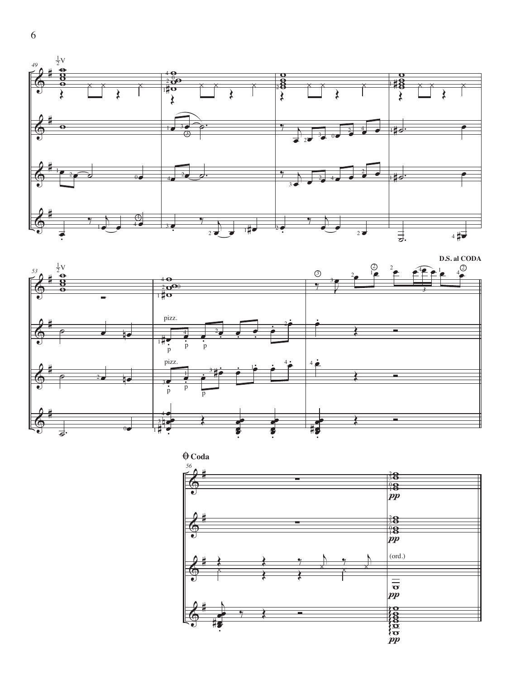



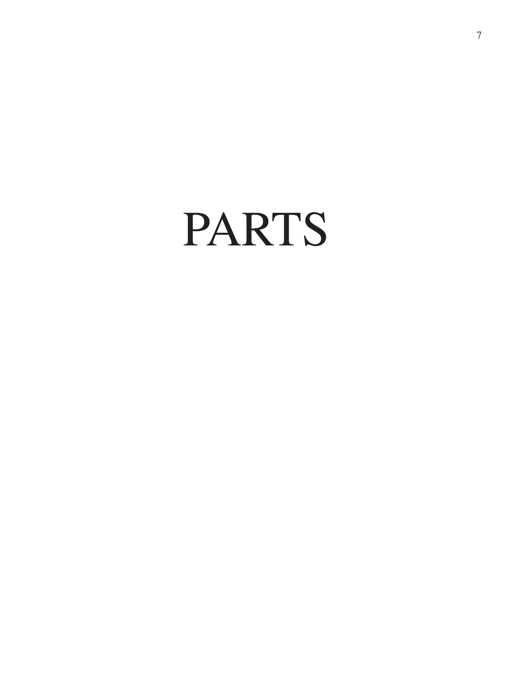PARTS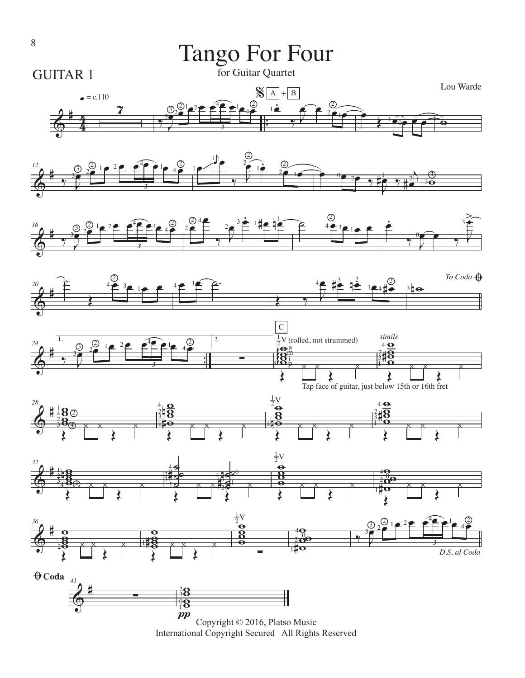

International Copyright Secured All Rights Reserved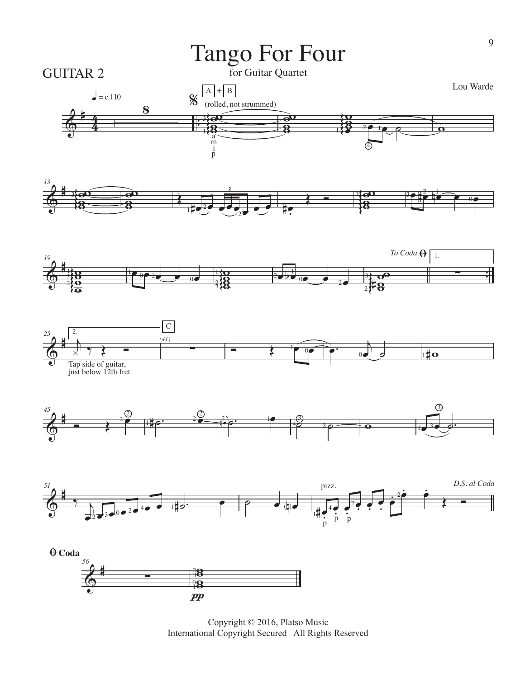

Copyright © 2016, Platso Music International Copyright Secured All Rights Reserved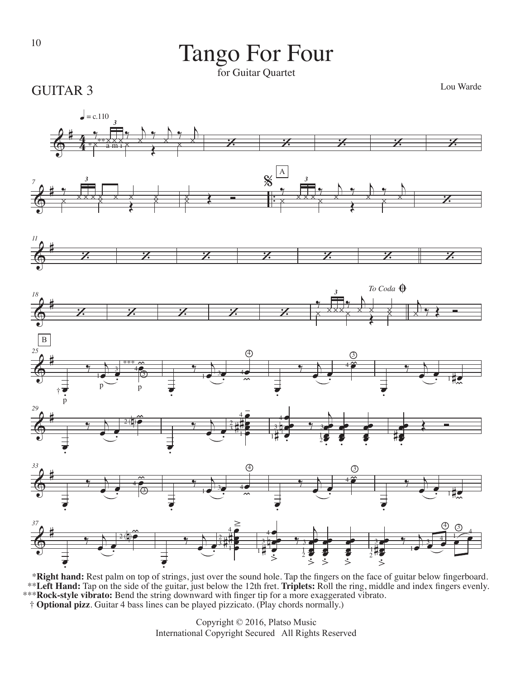## <sup>10</sup> Tango For Four

for Guitar Quartet

GUITAR 3

Lou Warde



 \***Right hand:** Rest palm on top of strings, just over the sound hole. Tap the fingers on the face of guitar below fingerboard. \*\***Left Hand:** Tap on the side of the guitar, just below the 12th fret. **Triplets:** Roll the ring, middle and index fingers evenly. \*\*\***Rock-style vibrato:** Bend the string downward with finger tip for a more exaggerated vibrato. † **Optional pizz**. Guitar 4 bass lines can be played pizzicato. (Play chords normally.)

Copyright © 2016, Platso Music International Copyright Secured All Rights Reserved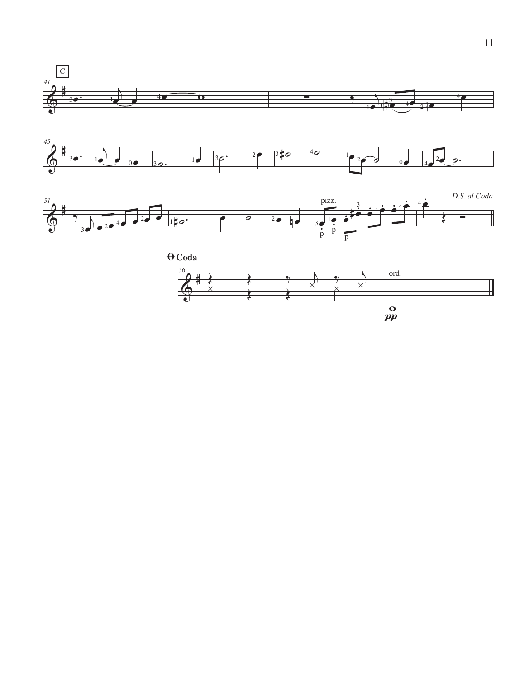





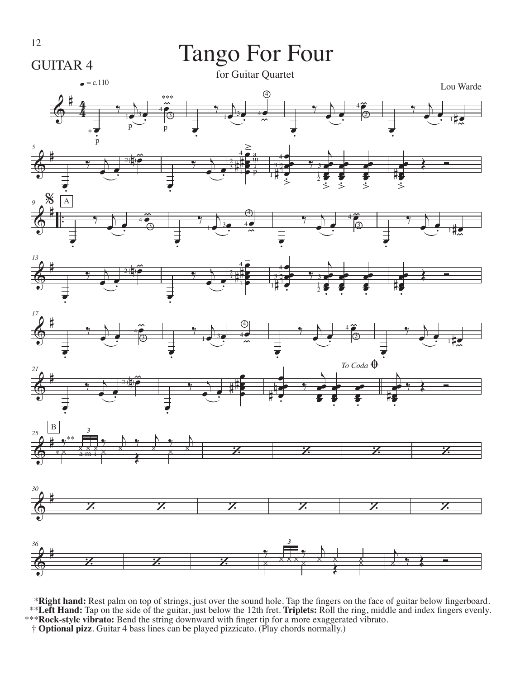

\*Right hand: Rest palm on top of strings, just over the sound hole. Tap the fingers on the face of guitar below fingerboard.<br>\*\*Left Hand: Tap on the side of the guitar, just below the 12th fret. Triplets: Roll the ring, mi